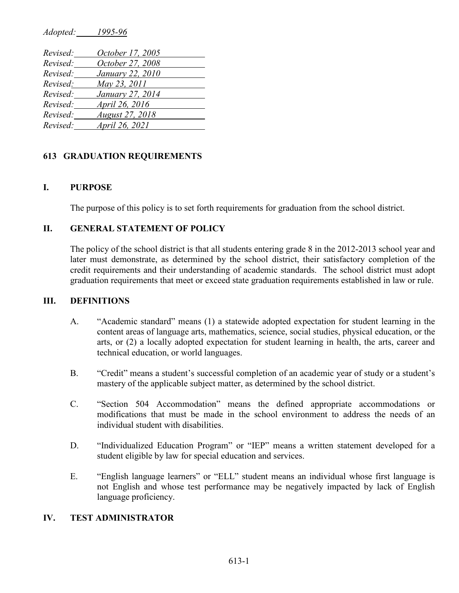*Adopted: 1995-96*

| Revised: | October 17, 2005       |
|----------|------------------------|
| Revised: | October 27, 2008       |
| Revised: | January 22, 2010       |
| Revised: | May 23, 2011           |
| Revised: | January 27, 2014       |
| Revised: | April 26, 2016         |
| Revised: | <b>August 27, 2018</b> |
| Revised: | April 26, 2021         |

### **613 GRADUATION REQUIREMENTS**

### **I. PURPOSE**

The purpose of this policy is to set forth requirements for graduation from the school district.

# **II. GENERAL STATEMENT OF POLICY**

The policy of the school district is that all students entering grade 8 in the 2012-2013 school year and later must demonstrate, as determined by the school district, their satisfactory completion of the credit requirements and their understanding of academic standards. The school district must adopt graduation requirements that meet or exceed state graduation requirements established in law or rule.

### **III. DEFINITIONS**

- A. "Academic standard" means (1) a statewide adopted expectation for student learning in the content areas of language arts, mathematics, science, social studies, physical education, or the arts, or (2) a locally adopted expectation for student learning in health, the arts, career and technical education, or world languages.
- B. "Credit" means a student's successful completion of an academic year of study or a student's mastery of the applicable subject matter, as determined by the school district.
- C. "Section 504 Accommodation" means the defined appropriate accommodations or modifications that must be made in the school environment to address the needs of an individual student with disabilities.
- D. "Individualized Education Program" or "IEP" means a written statement developed for a student eligible by law for special education and services.
- E. "English language learners" or "ELL" student means an individual whose first language is not English and whose test performance may be negatively impacted by lack of English language proficiency.

#### **IV. TEST ADMINISTRATOR**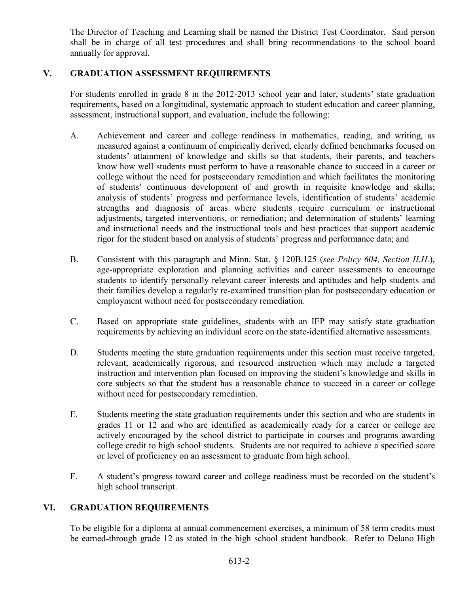The Director of Teaching and Learning shall be named the District Test Coordinator. Said person shall be in charge of all test procedures and shall bring recommendations to the school board annually for approval.

# **V. GRADUATION ASSESSMENT REQUIREMENTS**

For students enrolled in grade 8 in the 2012-2013 school year and later, students' state graduation requirements, based on a longitudinal, systematic approach to student education and career planning, assessment, instructional support, and evaluation, include the following:

- A. Achievement and career and college readiness in mathematics, reading, and writing, as measured against a continuum of empirically derived, clearly defined benchmarks focused on students' attainment of knowledge and skills so that students, their parents, and teachers know how well students must perform to have a reasonable chance to succeed in a career or college without the need for postsecondary remediation and which facilitates the monitoring of students' continuous development of and growth in requisite knowledge and skills; analysis of students' progress and performance levels, identification of students' academic strengths and diagnosis of areas where students require curriculum or instructional adjustments, targeted interventions, or remediation; and determination of students' learning and instructional needs and the instructional tools and best practices that support academic rigor for the student based on analysis of students' progress and performance data; and
- B. Consistent with this paragraph and Minn. Stat. § 120B.125 (*see Policy 604, Section II.H.*), age-appropriate exploration and planning activities and career assessments to encourage students to identify personally relevant career interests and aptitudes and help students and their families develop a regularly re-examined transition plan for postsecondary education or employment without need for postsecondary remediation.
- C. Based on appropriate state guidelines, students with an IEP may satisfy state graduation requirements by achieving an individual score on the state-identified alternative assessments.
- D. Students meeting the state graduation requirements under this section must receive targeted, relevant, academically rigorous, and resourced instruction which may include a targeted instruction and intervention plan focused on improving the student's knowledge and skills in core subjects so that the student has a reasonable chance to succeed in a career or college without need for postsecondary remediation.
- E. Students meeting the state graduation requirements under this section and who are students in grades 11 or 12 and who are identified as academically ready for a career or college are actively encouraged by the school district to participate in courses and programs awarding college credit to high school students. Students are not required to achieve a specified score or level of proficiency on an assessment to graduate from high school.
- F. A student's progress toward career and college readiness must be recorded on the student's high school transcript.

### **VI. GRADUATION REQUIREMENTS**

To be eligible for a diploma at annual commencement exercises, a minimum of 58 term credits must be earned-through grade 12 as stated in the high school student handbook. Refer to Delano High